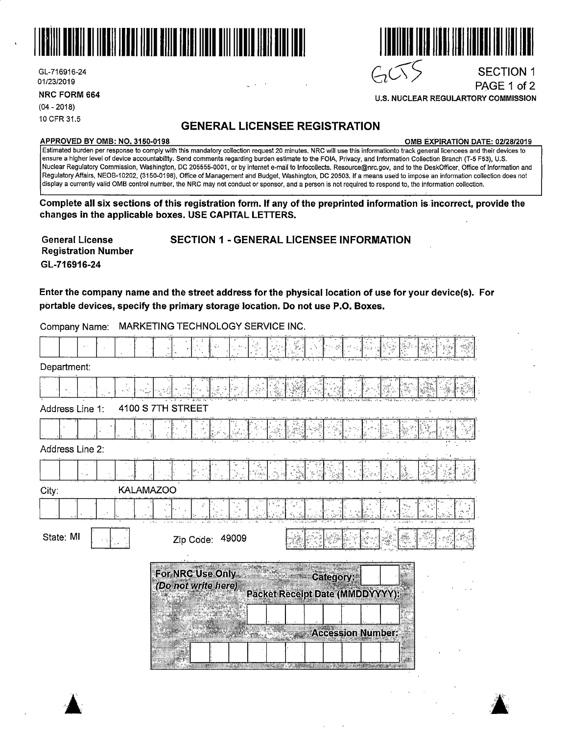

GL-716916-24<br>01/23/2019

**NRC FORM 664** 

(04 - 2018) 10 CFR 31.5

#### **GENERAL LICENSEE REGISTRATION**

#### **APPROVED BY 0MB: NO. 3150-0198 0MB EXPIRATION DATE: 02/28/2019**

Estimated burden per response to comply with this mandatory collection request 20 minutes. NRC will use this informationto track general licencees and their devices to ensure a higher level of device accountability. Send comments regarding burden estimate to the FOIA, Privacy, and Information Collection Branch (T-5 F53), U.S. Nuclear Regulatory Commission, Washington, DC 205555-0001, or by internet e-mail to lnfocollects. Resource@nrc.gov, and to the DeskOfficer, Office of Information and Regulatory Affairs, NEOB-10202, (3150-0198), Office of Management and Budget, Washington, DC 20503. If a means used to impose an information collection does not display a currently valid 0MB control number, the NRC may not conduct or sponsor, and a person is not required to respond to, the information collection.

Complete all six sections of this registration form. If any of the preprinted information is incorrect, provide the **changes in the applicable boxes. USE CAPITAL LETTERS.** 

| General License            | <b>SECTION 1 - GENERAL LICENSEE INFORMATION</b> |
|----------------------------|-------------------------------------------------|
| <b>Registration Number</b> |                                                 |
| GL-716916-24               |                                                 |

Enter the company name and the street address for the physical location of use for your device(s). For portable devices, specify the primary storage location. Do not use P.O. Boxes.

Department: 4100 S 7TH STREET Address Line 1: Address Line 2: I I I I I r I l I,· 1·· 1~.:\_-.·1.::·~::1.·:.\_.r··:~:~1~·~··,:J:·:: .. J:·t.:·1·.: .. J,':. 1--~-:~:;.1··\_·'d:,,<\_-t, . .. . , ' :·· :··::· .... ····~·· -··. ·., City: KALAMAZOO . . . I ·1 . 1- . I .· I.. 1 ·· :J·. ::l:: .· f ,. ::~1-'.·: .·J> J :>J:.:<1.:~';J-: .. J.::.::~:;[-.:I:.:;~-:r· .\_].:·.: t2J.·: : ... J:~}l , <,\_ • , ·, ,.) ~·,v·><-<'t ·;', • ,• ,< */* "" *:,i·* ~; ..-v , """"'', *,I* >., ,,- , .-, , •••, .< المجموعة المساحة المساحة المساحة المساحة المساحة المساحة المساحة المساحة المساحة المساحة المساحة المساحة المسا<br>أن يستطيع المساحة المساحة المساحة المساحة المساحة المساحة المساحة المساحة المساحة المساحة المساحة المساحة المس •jf: .. ; h~::;;1;:(].,~~:~~1:-/'(~·'.:r~ ::;·;:J:.r:·:~J, For NRC Use Only **Category:** (Do not write here) Packet Receipt Date (MMDDYYYY): itus. **Accession Number:** 

 $\ddot{\phantom{a}}$ 

Company Name: MARKETING TECHNOLOGY SERVICE INC.



## PAGE 1 of 2

&  $\mathbf{r}$  . ' and the same of the same

**u;s. NUCLEAR REGULARTORY COMMISSION**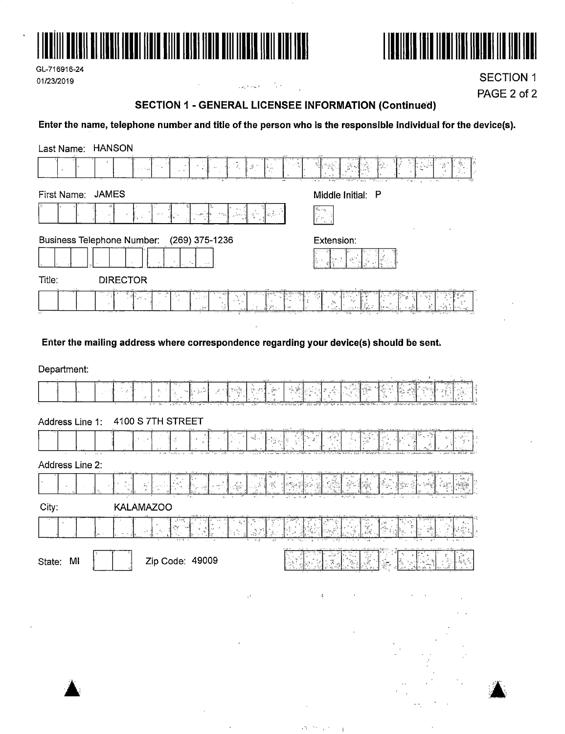



GL-716916-24 01/23/2019

**SECTION 1** PAGE 2 of 2

#### **SECTION 1 - GENERAL LICENSEE INFORMATION (Continued)**

Enter the name, telephone number and title of the person who is the responsible individual for the device(s).

 $\frac{1}{2}$  .

د.<br>افغان افراد با

| Last Name: HANSON                                                                                      |                     |
|--------------------------------------------------------------------------------------------------------|---------------------|
| Ż,<br>$\mathcal{S}$ '<br>s).                                                                           |                     |
| First Name: JAMES                                                                                      | Middle Initial: P   |
|                                                                                                        | Vn)                 |
| <b>Business Telephone Number:</b><br>(269) 375-1236                                                    | Extension:          |
| Title:<br><b>DIRECTOR</b>                                                                              |                     |
|                                                                                                        |                     |
| Enter the mailing address where correspondence regarding your device(s) should be sent.<br>Department: |                     |
|                                                                                                        |                     |
|                                                                                                        |                     |
| 4100 S 7TH STREET<br>Address Line 1:                                                                   |                     |
| $\zeta_{2,1}^{\frac{5}{2}}$ , ,                                                                        |                     |
| Address Line 2:                                                                                        |                     |
| $\mathcal{P}_{\mathcal{E}_1}$<br>$\mathbb{R}^3$                                                        |                     |
| City:<br><b>KALAMAZOO</b>                                                                              |                     |
|                                                                                                        | ila<br>Vite<br>Orto |
| Zip Code: 49009<br>State: MI                                                                           |                     |

 $\mathbf{R}$ 

 $\Delta\eta$  ,  $\Delta\eta$  ,  $\omega$ 

 $\cdot$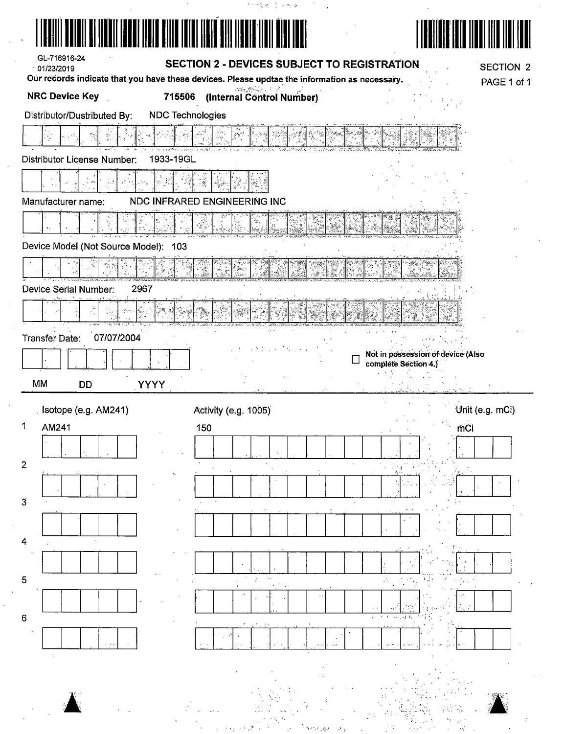| GL-716916-24                                 | SECTION 2 - DEVICES SUBJECT TO REGISTRATION                                                   |                                              |
|----------------------------------------------|-----------------------------------------------------------------------------------------------|----------------------------------------------|
| 01/23/2019                                   | Our records indicate that you have these devices. Please updtae the information as necessary. | <b>SECTION 2</b><br>PAGE 1 of 1              |
| <b>NRC Device Key</b>                        | See pole 10<br>715506 (Internal Control Number)                                               |                                              |
| Distributor/Dustributed By:                  | <b>NDC Technologies</b>                                                                       |                                              |
|                                              |                                                                                               |                                              |
| <b>Distributor License Number:</b>           | 1933-19GL                                                                                     |                                              |
|                                              |                                                                                               |                                              |
| Manufacturer name:                           | NDC INFRARED ENGINEERING INC                                                                  |                                              |
|                                              |                                                                                               |                                              |
| Device Model (Not Source Model): 103         |                                                                                               |                                              |
|                                              |                                                                                               |                                              |
| Device Serial Number:                        | 2967                                                                                          |                                              |
|                                              |                                                                                               |                                              |
| 07/07/2004<br>Transfer Date:                 |                                                                                               |                                              |
|                                              |                                                                                               | コンテーション<br>Not in possession of device (Also |
|                                              | complete Section 4.)                                                                          |                                              |
| MM<br><b>DD</b>                              | <b>YYYY</b>                                                                                   |                                              |
| . Isotope (e.g. AM241)                       |                                                                                               |                                              |
|                                              | Activity (e.g. 1005)                                                                          | Unit (e.g. mCi)                              |
| AM241                                        | 150                                                                                           | mCi                                          |
|                                              |                                                                                               |                                              |
|                                              |                                                                                               |                                              |
|                                              |                                                                                               |                                              |
|                                              |                                                                                               |                                              |
|                                              |                                                                                               |                                              |
|                                              |                                                                                               |                                              |
|                                              |                                                                                               |                                              |
|                                              |                                                                                               |                                              |
|                                              |                                                                                               |                                              |
|                                              |                                                                                               |                                              |
|                                              |                                                                                               |                                              |
| $\overline{2}$<br>$3^{\circ}$<br>4<br>5<br>6 |                                                                                               |                                              |
|                                              |                                                                                               |                                              |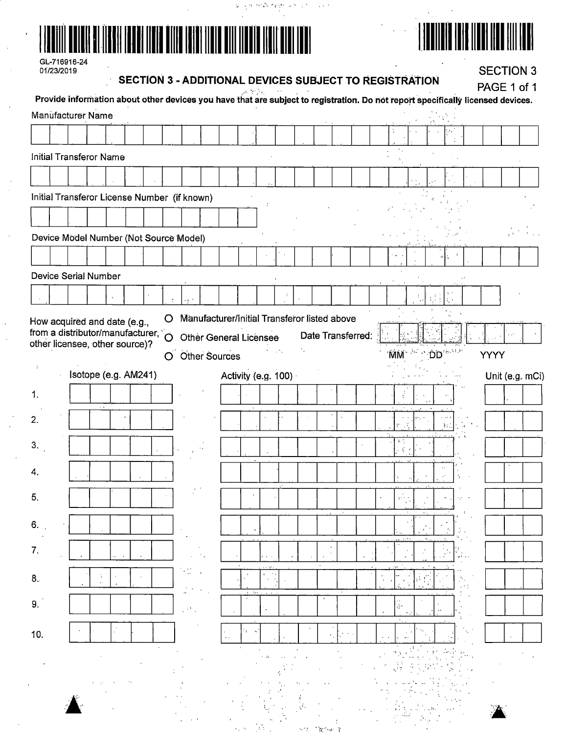| A RIJA INDIJI ILI VALDINI VALDINI ILI VALDINI UNIVERSITETI ILI VALDINI UNIVERSITETI ILI VALDINI UNIVERSITETI I |
|----------------------------------------------------------------------------------------------------------------|
|----------------------------------------------------------------------------------------------------------------|

# 

GL-716916-24<br>01/23/2019

SECTION 3 - ADDITIONAL DEVICES SUBJECT TO REGISTRATION

युक्त अरब्धि हेर्नुहोस् अभि पूर्ण

 $\sim$   $\times$   $^{-1}$ 

**SECTION 3** 

|     |                                |                  |                                  |         | Provide information about other devices you have that are subject to registration. Do not report specifically licensed devices. |                     | and the con- |              |   |  |        |                   | טוואווטוט    |                      |  | PAGE 1 of 1 |                 |
|-----|--------------------------------|------------------|----------------------------------|---------|---------------------------------------------------------------------------------------------------------------------------------|---------------------|--------------|--------------|---|--|--------|-------------------|--------------|----------------------|--|-------------|-----------------|
|     | Manufacturer Name              |                  |                                  |         |                                                                                                                                 |                     |              |              |   |  |        |                   |              |                      |  |             |                 |
|     |                                |                  |                                  |         |                                                                                                                                 |                     |              |              |   |  |        |                   |              |                      |  |             |                 |
|     | <b>Initial Transferor Name</b> |                  |                                  |         |                                                                                                                                 |                     |              |              |   |  |        |                   |              |                      |  |             |                 |
|     |                                |                  |                                  |         |                                                                                                                                 |                     |              |              |   |  |        |                   |              |                      |  |             |                 |
|     |                                |                  |                                  |         | Initial Transferor License Number (if known)                                                                                    |                     |              |              |   |  |        |                   |              |                      |  |             |                 |
|     |                                |                  |                                  |         |                                                                                                                                 |                     |              |              |   |  |        |                   |              |                      |  |             |                 |
|     |                                |                  |                                  |         | Device Model Number (Not Source Model)                                                                                          |                     |              |              |   |  |        |                   |              |                      |  |             |                 |
|     |                                |                  |                                  |         |                                                                                                                                 |                     |              |              |   |  |        |                   |              |                      |  |             |                 |
|     | <b>Device Serial Number</b>    |                  |                                  |         |                                                                                                                                 |                     |              |              |   |  |        |                   |              |                      |  |             |                 |
|     |                                |                  |                                  |         |                                                                                                                                 |                     |              |              | ÷ |  |        |                   |              |                      |  |             |                 |
|     |                                |                  | How acquired and date (e.g.,     | O       | Manufacturer/Initial Transferor listed above                                                                                    |                     |              |              |   |  |        |                   |              |                      |  |             |                 |
|     |                                |                  | from a distributor/manufacturer, | $\circ$ | <b>Other General Licensee</b>                                                                                                   |                     |              |              |   |  |        | Date Transferred: |              |                      |  |             |                 |
|     |                                |                  | other licensee, other source)?   | O       | Other Sources                                                                                                                   |                     |              |              |   |  |        |                   |              | MM Secret DD Secrets |  | <b>YYYY</b> |                 |
|     |                                |                  | Isotope (e.g. AM241)             |         |                                                                                                                                 | Activity (e.g. 100) |              |              |   |  |        |                   |              |                      |  |             | Unit (e.g. mCi) |
| 1.  |                                |                  |                                  |         |                                                                                                                                 |                     |              |              |   |  |        |                   | ÷            |                      |  |             |                 |
| 2.  |                                | $\sim$ $\lambda$ |                                  |         |                                                                                                                                 |                     |              |              |   |  |        |                   |              |                      |  |             |                 |
|     |                                |                  |                                  |         |                                                                                                                                 |                     |              |              |   |  |        |                   | ť.<br>新型     | 16.1                 |  |             |                 |
| 3.  |                                |                  |                                  |         |                                                                                                                                 |                     |              |              |   |  |        |                   | $\sqrt{q}$ . |                      |  |             |                 |
| 4.  |                                |                  |                                  |         |                                                                                                                                 |                     |              |              |   |  |        |                   |              |                      |  |             |                 |
| 5.  |                                |                  |                                  |         |                                                                                                                                 |                     |              |              |   |  |        |                   |              |                      |  |             |                 |
|     |                                |                  |                                  |         |                                                                                                                                 |                     |              |              |   |  |        |                   |              |                      |  |             |                 |
| 6.  |                                |                  |                                  |         |                                                                                                                                 |                     |              |              |   |  |        |                   |              |                      |  |             |                 |
| 7.  |                                |                  |                                  |         |                                                                                                                                 |                     |              |              |   |  |        |                   |              |                      |  |             |                 |
| 8.  |                                |                  |                                  |         | $\sigma_{\rm eff}^{\rm eff}$ , $\tau_{\rm e}$                                                                                   |                     |              | $\mathbf{L}$ |   |  |        |                   |              |                      |  |             |                 |
|     |                                |                  |                                  |         |                                                                                                                                 |                     | and they     |              |   |  |        |                   |              |                      |  |             |                 |
| 9.  |                                |                  |                                  |         | $\mathcal{F}_{\mathcal{A}}$                                                                                                     |                     |              |              |   |  |        |                   | 动力           |                      |  |             |                 |
| 10. |                                |                  |                                  |         |                                                                                                                                 |                     | Te si        |              |   |  | ije ko |                   |              |                      |  |             |                 |
|     |                                |                  |                                  |         |                                                                                                                                 |                     |              |              |   |  |        |                   |              |                      |  |             |                 |
|     |                                |                  |                                  |         |                                                                                                                                 |                     |              |              |   |  |        |                   |              |                      |  |             |                 |
|     |                                |                  |                                  |         |                                                                                                                                 |                     |              |              |   |  |        |                   |              |                      |  |             |                 |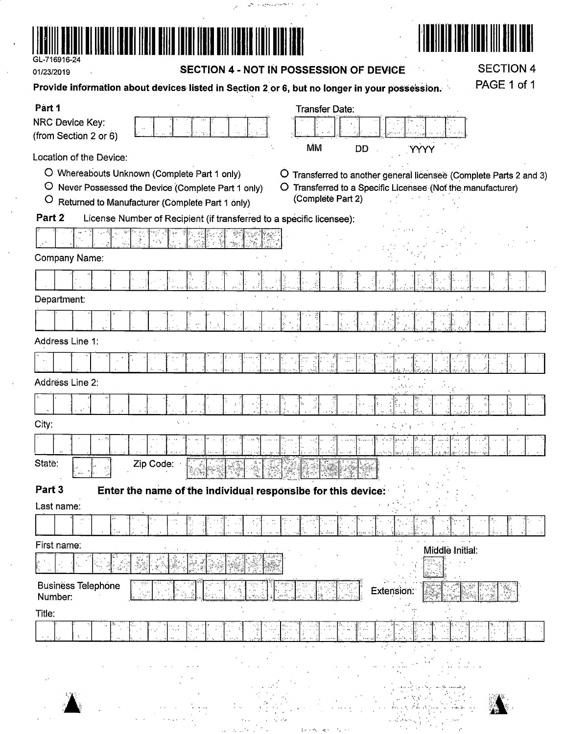| GL-716916-24 |                                                | ╷┈╷╷╷╷╷╷╷╷ |
|--------------|------------------------------------------------|------------|
| 01/23/2019   | <b>SECTION 4 - NOT IN POSSESSION OF DEVICE</b> |            |

**Television** 

**SECTION 4** PAGE 1 of 1

Provide information about devices listed in Section 2 or 6, but no longer in your possession. Part 1 Transfer Date: **NRC Device Kev:** (from Section 2 or 6) **MM DD** YYYY Location of the Device: O Whereabouts Unknown (Complete Part 1 only) O Transferred to another general licensee (Complete Parts 2 and 3) O Never Possessed the Device (Complete Part 1 only) O Transferred to a Specific Licensee (Not the manufacturer) O Returned to Manufacturer (Complete Part 1 only) (Complete Part 2) Part 2 License Number of Recipient (if transferred to a specific licensee): Company Name: Department: Address Line 1: Address Line 2: City: State: Zip Code: Part<sub>3</sub> Enter the name of the individual responsibe for this device: Last name: First name: Middle Initial: **Business Telephone** Extension: Number: Title: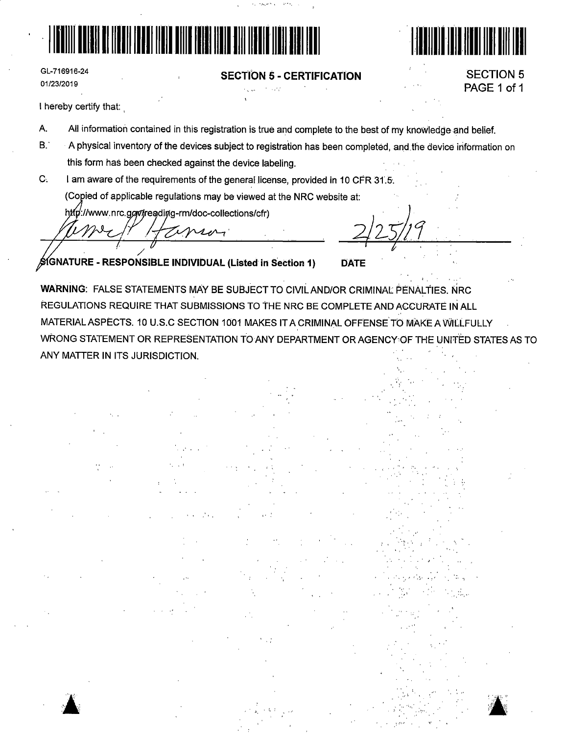



GL-716916-24 01/23/2019

#### **SECTION** *5* - **CERTIFICATION** SECTION 5

PAGE 1 of 1

I hereby certify that:

 $\blacktriangle$  .

- A. All information contained in this registration is true and complete to the best of my knoWledge and belief.
- B. A physical inventory of the devices subject to registration has been completed, and the device information on this form has been checked against the device labeling.

برورد

 $\mathbf{C}$ I am aware of the requirements of the general license, provided in 10 CFR 31.5. (Copied of applicable regulations may be viewed at the NRC website at:

 $7/20$   $2/25/19$ 

. ·-~ .

. ' .• ',, ,, ' , I. '·· -*:* ~ 1

**GNATURE** - **RESPONSIBLE INDIVIDUAL (Listed iri s·ection 1) DATE** 

WARNING: FALSE STATEMENTS MAY BE SUBJECT TO CIVIL AND/OR CRIMINAL PENALTIES. NRC REGULATIONS REQUIRE THAT SUBMISSIONS TO THE NRC BE COMPLETE AND ACCURATE IN ALL ·' MATERIAL ASPECTS. 10 U.S.C SECTION 1001 MAKES IT A CRIMINAL OFFENSE TO MAKE A WILLFULLY WRONG STATEMENT OR REPRESENTATION TO ANY DEPARTMENT OR AGENCY,OF THE UNITED STATES AS TO ANY MATTER IN ITS JURISDICTION.